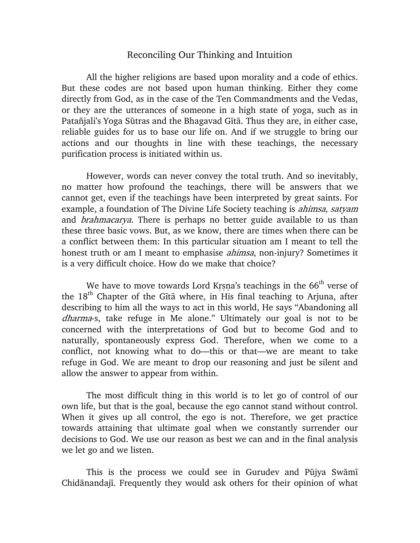## Reconciling Our Thinking and Intuition

All the higher religions are based upon morality and a code of ethics. But these codes are not based upon human thinking. Either they come directly from God, as in the case of the Ten Commandments and the Vedas, or they are the utterances of someone in a high state of yoga, such as in Patañjali's Yoga Sūtras and the Bhagavad Gītā. Thus they are, in either case, reliable guides for us to base our life on. And if we struggle to bring our actions and our thoughts in line with these teachings, the necessary purification process is initiated within us.

However, words can never convey the total truth. And so inevitably, no matter how profound the teachings, there will be answers that we cannot get, even if the teachings have been interpreted by great saints. For example, a foundation of The Divine Life Society teaching is *ahimsa, satyam* and *brahmacarya*. There is perhaps no better guide available to us than these three basic vows. But, as we know, there are times when there can be a conflict between them: In this particular situation am I meant to tell the honest truth or am I meant to emphasise *ahimsa*, non-injury? Sometimes it is a very difficult choice. How do we make that choice?

We have to move towards Lord Krsna's teachings in the  $66<sup>th</sup>$  verse of the 18<sup>th</sup> Chapter of the Gītā where, in His final teaching to Arjuna, after describing to him all the ways to act in this world, He says "Abandoning all dharma-s, take refuge in Me alone." Ultimately our goal is not to be concerned with the interpretations of God but to become God and to naturally, spontaneously express God. Therefore, when we come to a conflict, not knowing what to do—this or that—we are meant to take refuge in God. We are meant to drop our reasoning and just be silent and allow the answer to appear from within.

The most difficult thing in this world is to let go of control of our own life, but that is the goal, because the ego cannot stand without control. When it gives up all control, the ego is not. Therefore, we get practice towards attaining that ultimate goal when we constantly surrender our decisions to God. We use our reason as best we can and in the final analysis we let go and we listen.

This is the process we could see in Gurudev and Pūjya Swāmī Chidānandajī. Frequently they would ask others for their opinion of what